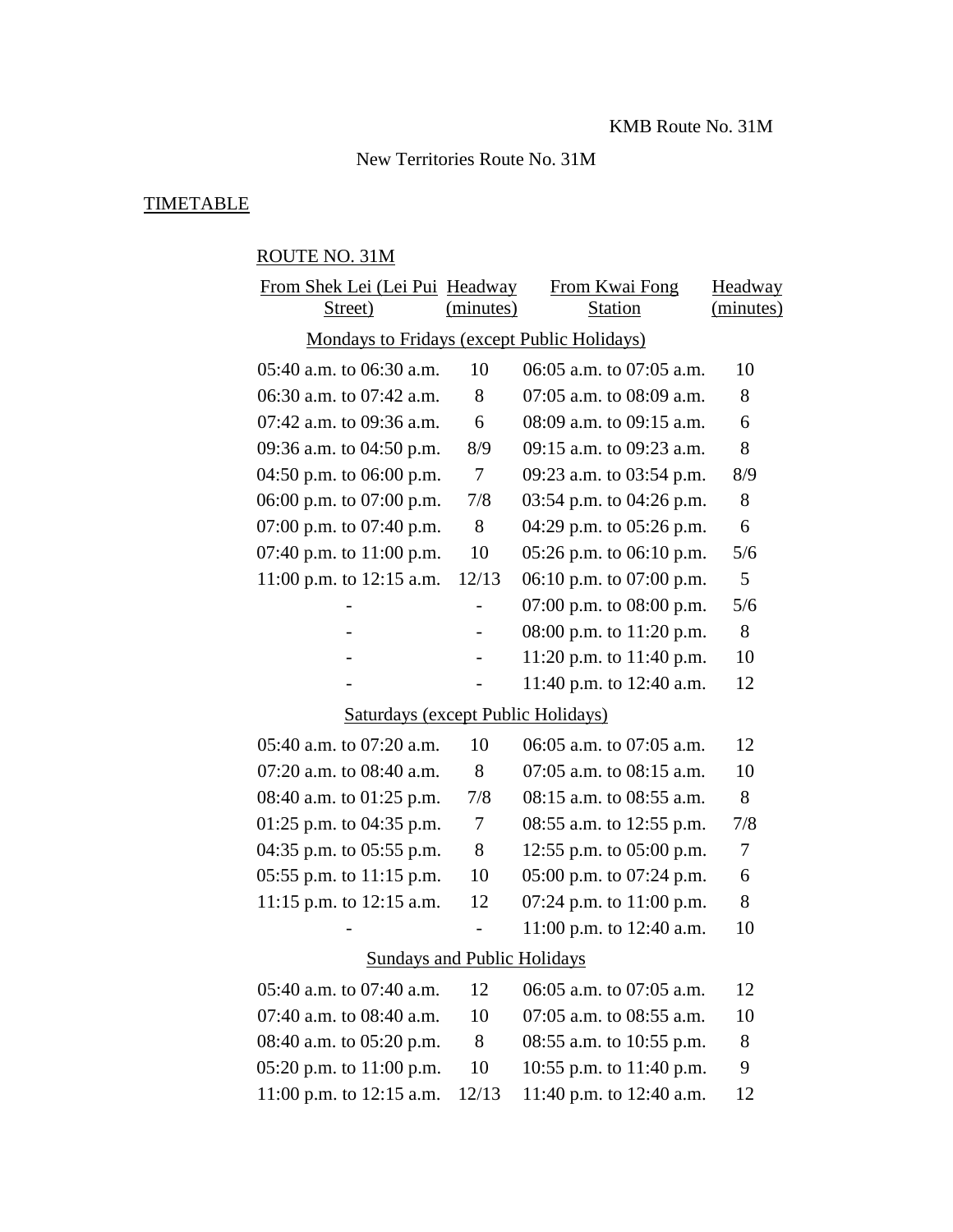# New Territories Route No. 31M

# **TIMETABLE**

# ROUTE NO. 31M

| From Shek Lei (Lei Pui Headway                     |           | From Kwai Fong               | Headway   |  |  |
|----------------------------------------------------|-----------|------------------------------|-----------|--|--|
| Street)                                            | (minutes) | <b>Station</b>               | (minutes) |  |  |
| <b>Mondays to Fridays (except Public Holidays)</b> |           |                              |           |  |  |
| $05:40$ a.m. to $06:30$ a.m.                       | 10        | 06:05 a.m. to 07:05 a.m.     | 10        |  |  |
| 06:30 a.m. to 07:42 a.m.                           | 8         | 07:05 a.m. to 08:09 a.m.     | 8         |  |  |
| 07:42 a.m. to 09:36 a.m.                           | 6         | 08:09 a.m. to 09:15 a.m.     | 6         |  |  |
| 09:36 a.m. to 04:50 p.m.                           | 8/9       | 09:15 a.m. to 09:23 a.m.     | 8         |  |  |
| 04:50 p.m. to $06:00$ p.m.                         | $\tau$    | 09:23 a.m. to 03:54 p.m.     | 8/9       |  |  |
| 06:00 p.m. to 07:00 p.m.                           | 7/8       | 03:54 p.m. to $04:26$ p.m.   | 8         |  |  |
| 07:00 p.m. to 07:40 p.m.                           | 8         | 04:29 p.m. to 05:26 p.m.     | 6         |  |  |
| 07:40 p.m. to 11:00 p.m.                           | 10        | 05:26 p.m. to 06:10 p.m.     | 5/6       |  |  |
| 11:00 p.m. to 12:15 a.m.                           | 12/13     | 06:10 p.m. to $07:00$ p.m.   | 5         |  |  |
|                                                    |           | 07:00 p.m. to $08:00$ p.m.   | 5/6       |  |  |
|                                                    |           | 08:00 p.m. to $11:20$ p.m.   | 8         |  |  |
|                                                    |           | 11:20 p.m. to $11:40$ p.m.   | 10        |  |  |
|                                                    |           | 11:40 p.m. to 12:40 a.m.     | 12        |  |  |
| <b>Saturdays (except Public Holidays)</b>          |           |                              |           |  |  |
| 05:40 a.m. to 07:20 a.m.                           | 10        | 06:05 a.m. to 07:05 a.m.     | 12        |  |  |
| $07:20$ a.m. to $08:40$ a.m.                       | 8         | $07:05$ a.m. to $08:15$ a.m. | 10        |  |  |
| 08:40 a.m. to $01:25$ p.m.                         | 7/8       | $08:15$ a.m. to $08:55$ a.m. | 8         |  |  |
| 01:25 p.m. to 04:35 p.m.                           | $\tau$    | 08:55 a.m. to 12:55 p.m.     | 7/8       |  |  |
| 04:35 p.m. to 05:55 p.m.                           | 8         | 12:55 p.m. to $05:00$ p.m.   | $\tau$    |  |  |
| 05:55 p.m. to 11:15 p.m.                           | 10        | 05:00 p.m. to 07:24 p.m.     | 6         |  |  |
| 11:15 p.m. to $12:15$ a.m.                         | 12        | 07:24 p.m. to $11:00$ p.m.   | 8         |  |  |
|                                                    |           | 11:00 p.m. to 12:40 a.m.     | 10        |  |  |
| <b>Sundays and Public Holidays</b>                 |           |                              |           |  |  |
| 05:40 a.m. to 07:40 a.m.                           | 12        | 06:05 a.m. to 07:05 a.m.     | 12        |  |  |
| 07:40 a.m. to 08:40 a.m.                           | 10        | $07:05$ a.m. to $08:55$ a.m. | 10        |  |  |
| 08:40 a.m. to 05:20 p.m.                           | 8         | 08:55 a.m. to 10:55 p.m.     | 8         |  |  |
| 05:20 p.m. to 11:00 p.m.                           | 10        | 10:55 p.m. to 11:40 p.m.     | 9         |  |  |
| 11:00 p.m. to 12:15 a.m.                           | 12/13     | 11:40 p.m. to 12:40 a.m.     | 12        |  |  |
|                                                    |           |                              |           |  |  |